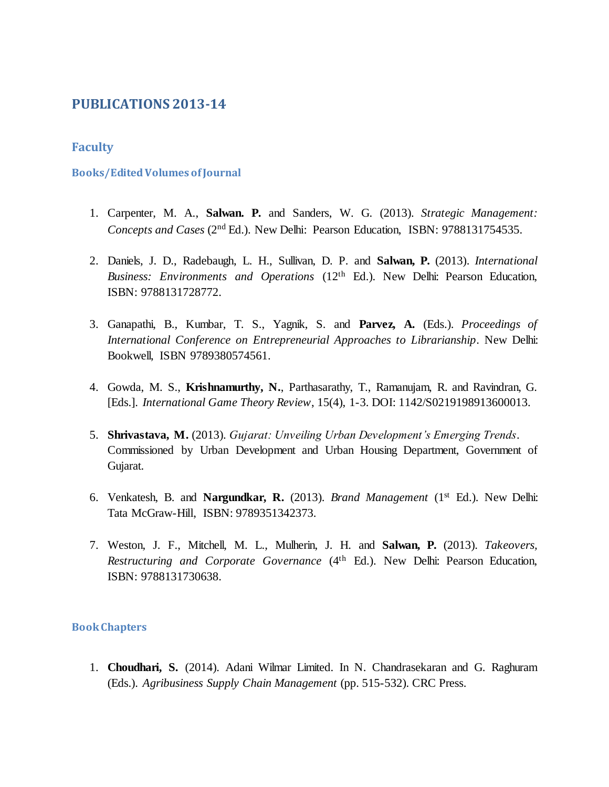# **PUBLICATIONS 2013-14**

# **Faculty**

## **Books/Edited Volumes of Journal**

- 1. Carpenter, M. A., **Salwan. P.** and Sanders, W. G. (2013). *Strategic Management: Concepts and Cases* (2nd Ed.). New Delhi: Pearson Education, ISBN: 9788131754535.
- 2. Daniels, J. D., Radebaugh, L. H., Sullivan, D. P. and **Salwan, P.** (2013). *International Business: Environments and Operations* (12th Ed.). New Delhi: Pearson Education, ISBN: 9788131728772.
- 3. Ganapathi, B., Kumbar, T. S., Yagnik, S. and **Parvez, A.** (Eds.). *Proceedings of International Conference on Entrepreneurial Approaches to Librarianship*. New Delhi: Bookwell, ISBN 9789380574561.
- 4. Gowda, M. S., **Krishnamurthy, N.**, Parthasarathy, T., Ramanujam, R. and Ravindran, G. [Eds.]. *International Game Theory Review*, 15(4), 1-3. DOI: 1142/S0219198913600013.
- 5. **Shrivastava, M.** (2013). *Gujarat: Unveiling Urban Development's Emerging Trends*. Commissioned by Urban Development and Urban Housing Department, Government of Gujarat.
- 6. Venkatesh, B. and **Nargundkar, R.** (2013). *Brand Management* (1st Ed.). New Delhi: Tata McGraw-Hill, ISBN: 9789351342373.
- 7. Weston, J. F., Mitchell, M. L., Mulherin, J. H. and **Salwan, P.** (2013). *Takeovers, Restructuring and Corporate Governance* (4th Ed.). New Delhi: Pearson Education, ISBN: 9788131730638.

## **Book Chapters**

1. **Choudhari, S.** (2014). Adani Wilmar Limited. In N. Chandrasekaran and G. Raghuram (Eds.). *Agribusiness Supply Chain Management* (pp. 515-532). CRC Press.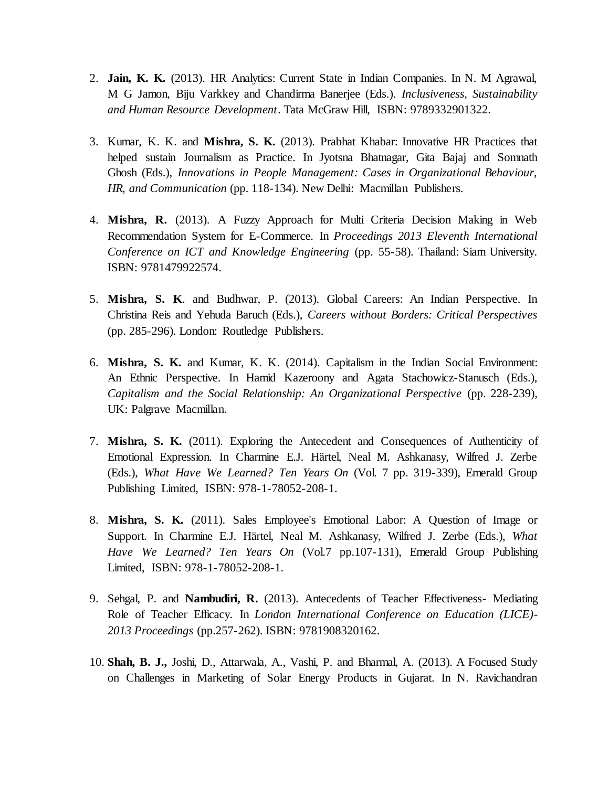- 2. **Jain, K. K.** (2013). HR Analytics: Current State in Indian Companies. In N. M Agrawal, M G Jamon, Biju Varkkey and Chandirma Banerjee (Eds.). *Inclusiveness, Sustainability and Human Resource Development*. Tata McGraw Hill, ISBN: 9789332901322.
- 3. Kumar, K. K. and **Mishra, S. K.** (2013). Prabhat Khabar: Innovative HR Practices that helped sustain Journalism as Practice. In Jyotsna Bhatnagar, Gita Bajaj and Somnath Ghosh (Eds.), *Innovations in People Management: Cases in Organizational Behaviour, HR, and Communication* (pp. 118-134). New Delhi: Macmillan Publishers.
- 4. **Mishra, R.** (2013). A Fuzzy Approach for Multi Criteria Decision Making in Web Recommendation System for E-Commerce. In *Proceedings 2013 Eleventh International Conference on ICT and Knowledge Engineering* (pp. 55-58). Thailand: Siam University. ISBN: 9781479922574.
- 5. **Mishra, S. K**. and Budhwar, P. (2013). Global Careers: An Indian Perspective. In Christina Reis and Yehuda Baruch (Eds.), *Careers without Borders: Critical Perspectives* (pp. 285-296). London: Routledge Publishers.
- 6. **Mishra, S. K.** and Kumar, K. K. (2014). Capitalism in the Indian Social Environment: An Ethnic Perspective. In Hamid Kazeroony and Agata Stachowicz-Stanusch (Eds.), *Capitalism and the Social Relationship: An Organizational Perspective* (pp. 228-239), UK: Palgrave Macmillan.
- 7. **Mishra, S. K.** (2011). Exploring the Antecedent and Consequences of Authenticity of Emotional Expression. In Charmine E.J. Härtel, Neal M. Ashkanasy, Wilfred J. Zerbe (Eds.), *What Have We Learned? Ten Years On* (Vol. 7 pp. 319-339), Emerald Group Publishing Limited, ISBN: 978-1-78052-208-1.
- 8. **Mishra, S. K.** (2011). Sales Employee's Emotional Labor: A Question of Image or Support. In Charmine E.J. Härtel, Neal M. Ashkanasy, Wilfred J. Zerbe (Eds.), *What Have We Learned? Ten Years On* (Vol.7 pp.107-131), Emerald Group Publishing Limited, ISBN: 978-1-78052-208-1.
- 9. Sehgal, P. and **Nambudiri, R.** (2013). Antecedents of Teacher Effectiveness- Mediating Role of Teacher Efficacy. In *London International Conference on Education (LICE)- 2013 Proceedings* (pp.257-262). ISBN: 9781908320162.
- 10. **Shah, B. J.,** Joshi, D., Attarwala, A., Vashi, P. and Bharmal, A. (2013). A Focused Study on Challenges in Marketing of Solar Energy Products in Gujarat. In N. Ravichandran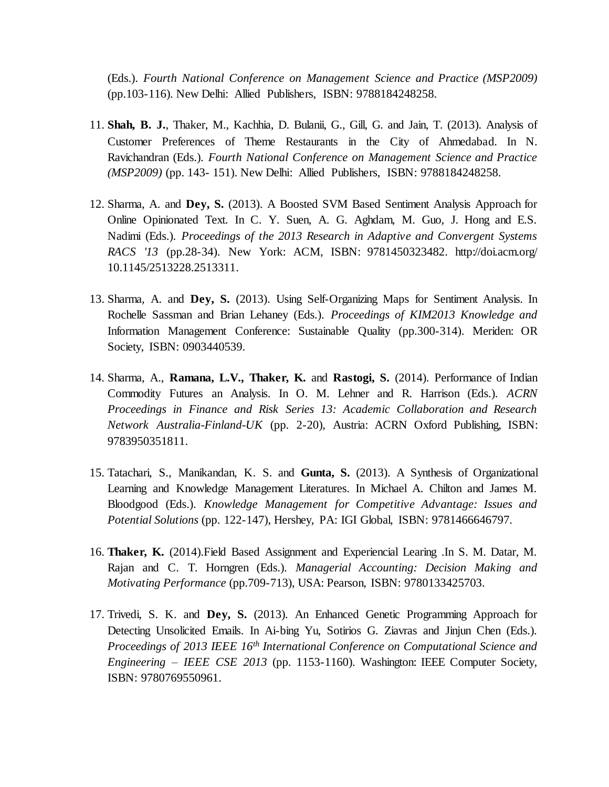(Eds.). *Fourth National Conference on Management Science and Practice (MSP2009)* (pp.103-116). New Delhi: Allied Publishers, ISBN: 9788184248258.

- 11. **Shah, B. J.**, Thaker, M., Kachhia, D. Bulanii, G., Gill, G. and Jain, T. (2013). Analysis of Customer Preferences of Theme Restaurants in the City of Ahmedabad. In N. Ravichandran (Eds.). *Fourth National Conference on Management Science and Practice (MSP2009)* (pp. 143- 151). New Delhi: Allied Publishers, ISBN: 9788184248258.
- 12. Sharma, A. and **Dey, S.** (2013). A Boosted SVM Based Sentiment Analysis Approach for Online Opinionated Text. In C. Y. Suen, A. G. Aghdam, M. Guo, J. Hong and E.S. Nadimi (Eds.). *Proceedings of the 2013 Research in Adaptive and Convergent Systems RACS '13* (pp.28-34). New York: ACM, ISBN: 9781450323482. http://doi.acm.org/ 10.1145/2513228.2513311.
- 13. Sharma, A. and **Dey, S.** (2013). Using Self-Organizing Maps for Sentiment Analysis. In Rochelle Sassman and Brian Lehaney (Eds.). *Proceedings of KIM2013 Knowledge and* Information Management Conference: Sustainable Quality (pp.300-314). Meriden: OR Society, ISBN: 0903440539.
- 14. Sharma, A., **Ramana, L.V., Thaker, K.** and **Rastogi, S.** (2014). Performance of Indian Commodity Futures an Analysis. In O. M. Lehner and R. Harrison (Eds.). *ACRN Proceedings in Finance and Risk Series 13: Academic Collaboration and Research Network Australia-Finland-UK* (pp. 2-20), Austria: ACRN Oxford Publishing, ISBN: 9783950351811.
- 15. Tatachari, S., Manikandan, K. S. and **Gunta, S.** (2013). A Synthesis of Organizational Learning and Knowledge Management Literatures. In Michael A. Chilton and James M. Bloodgood (Eds.). *Knowledge Management for Competitive Advantage: Issues and Potential Solutions* (pp. 122-147), Hershey, PA: IGI Global, ISBN: 9781466646797.
- 16. **Thaker, K.** (2014).Field Based Assignment and Experiencial Learing .In S. M. Datar, M. Rajan and C. T. Horngren (Eds.). *Managerial Accounting: Decision Making and Motivating Performance* (pp.709-713), USA: Pearson, ISBN: 9780133425703.
- 17. Trivedi, S. K. and **Dey, S.** (2013). An Enhanced Genetic Programming Approach for Detecting Unsolicited Emails. In Ai-bing Yu, Sotirios G. Ziavras and Jinjun Chen (Eds.). *Proceedings of 2013 IEEE 16th International Conference on Computational Science and Engineering – IEEE CSE 2013* (pp. 1153-1160). Washington: IEEE Computer Society, ISBN: 9780769550961.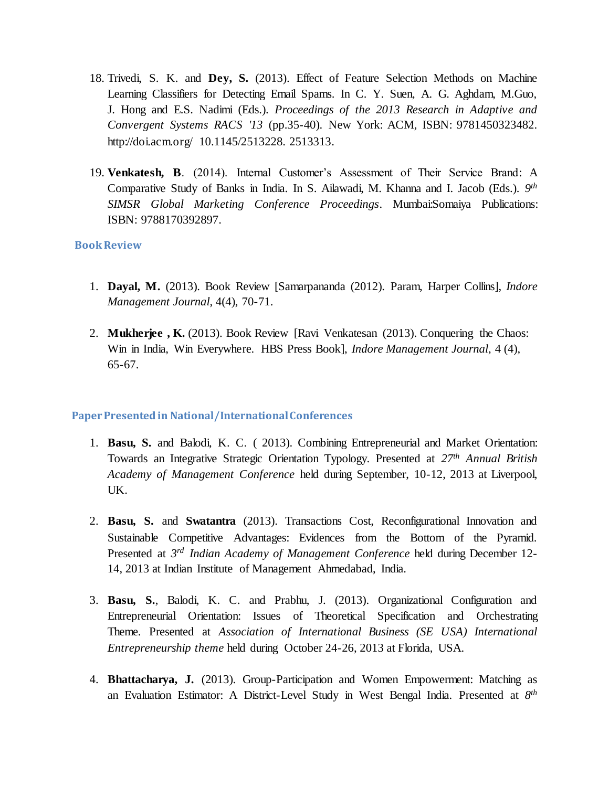- 18. Trivedi, S. K. and **Dey, S.** (2013). Effect of Feature Selection Methods on Machine Learning Classifiers for Detecting Email Spams. In C. Y. Suen, A. G. Aghdam, M.Guo, J. Hong and E.S. Nadimi (Eds.). *Proceedings of the 2013 Research in Adaptive and Convergent Systems RACS '13* (pp.35-40). New York: ACM, ISBN: 9781450323482. http://doi.acm.org/ 10.1145/2513228. 2513313.
- 19. **Venkatesh, B**. (2014). Internal Customer's Assessment of Their Service Brand: A Comparative Study of Banks in India. In S. Ailawadi, M. Khanna and I. Jacob (Eds.). *9 th SIMSR Global Marketing Conference Proceedings*. Mumbai:Somaiya Publications: ISBN: 9788170392897.

### **Book Review**

- 1. **Dayal, M.** (2013). Book Review [Samarpananda (2012). Param, Harper Collins], *Indore Management Journal*, 4(4), 70-71.
- 2. **Mukherjee , K.** (2013). Book Review [Ravi Venkatesan (2013). Conquering the Chaos: Win in India, Win Everywhere. HBS Press Book], *Indore Management Journal*, 4 (4), 65-67.

### **Paper Presented in National/International Conferences**

- 1. **Basu, S.** and Balodi, K. C. ( 2013). Combining Entrepreneurial and Market Orientation: Towards an Integrative Strategic Orientation Typology. Presented at *27th Annual British Academy of Management Conference* held during September, 10-12, 2013 at Liverpool, UK.
- 2. **Basu, S.** and **Swatantra** (2013). Transactions Cost, Reconfigurational Innovation and Sustainable Competitive Advantages: Evidences from the Bottom of the Pyramid. Presented at 3<sup>rd</sup> Indian Academy of Management Conference held during December 12-14, 2013 at Indian Institute of Management Ahmedabad, India.
- 3. **Basu, S.**, Balodi, K. C. and Prabhu, J. (2013). Organizational Configuration and Entrepreneurial Orientation: Issues of Theoretical Specification and Orchestrating Theme. Presented at *Association of International Business (SE USA) International Entrepreneurship theme* held during October 24-26, 2013 at Florida, USA.
- 4. **Bhattacharya, J.** (2013). Group-Participation and Women Empowerment: Matching as an Evaluation Estimator: A District-Level Study in West Bengal India. Presented at *8 th*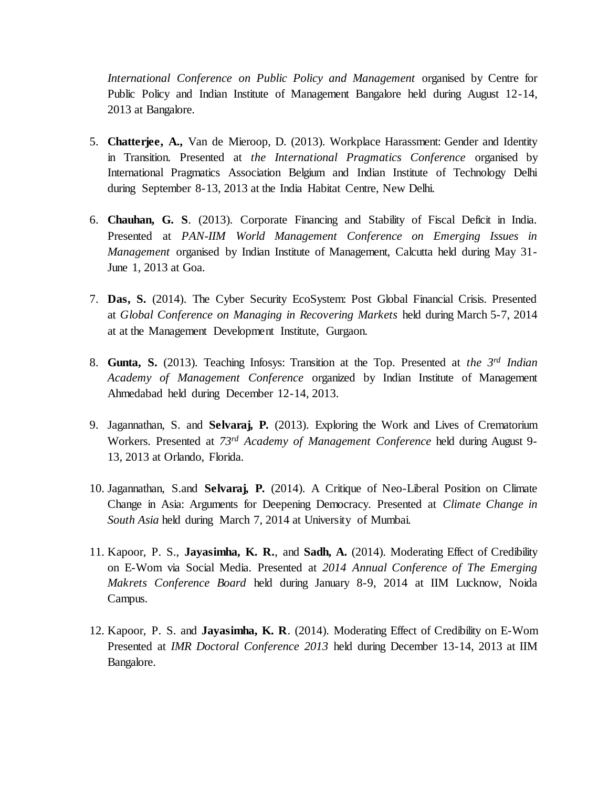*International Conference on Public Policy and Management* organised by Centre for Public Policy and Indian Institute of Management Bangalore held during August 12-14, 2013 at Bangalore.

- 5. **Chatterjee, A.,** Van de Mieroop, D. (2013). Workplace Harassment: Gender and Identity in Transition. Presented at *the International Pragmatics Conference* organised by International Pragmatics Association Belgium and Indian Institute of Technology Delhi during September 8-13, 2013 at the India Habitat Centre, New Delhi.
- 6. **Chauhan, G. S**. (2013). Corporate Financing and Stability of Fiscal Deficit in India. Presented at *PAN-IIM World Management Conference on Emerging Issues in Management* organised by Indian Institute of Management, Calcutta held during May 31- June 1, 2013 at Goa.
- 7. **Das, S.** (2014). The Cyber Security EcoSystem: Post Global Financial Crisis. Presented at *Global Conference on Managing in Recovering Markets* held during March 5-7, 2014 at at the Management Development Institute, Gurgaon.
- 8. **Gunta, S.** (2013). Teaching Infosys: Transition at the Top. Presented at *the 3rd Indian Academy of Management Conference* organized by Indian Institute of Management Ahmedabad held during December 12-14, 2013.
- 9. Jagannathan, S. and **Selvaraj, P.** (2013). Exploring the Work and Lives of Crematorium Workers. Presented at *73rd Academy of Management Conference* held during August 9- 13, 2013 at Orlando, Florida.
- 10. Jagannathan, S.and **Selvaraj, P.** (2014). A Critique of Neo-Liberal Position on Climate Change in Asia: Arguments for Deepening Democracy. Presented at *Climate Change in South Asia* held during March 7, 2014 at University of Mumbai.
- 11. Kapoor, P. S., **Jayasimha, K. R.**, and **Sadh, A.** (2014). Moderating Effect of Credibility on E-Wom via Social Media. Presented at *2014 Annual Conference of The Emerging Makrets Conference Board* held during January 8-9, 2014 at IIM Lucknow, Noida Campus.
- 12. Kapoor, P. S. and **Jayasimha, K. R**. (2014). Moderating Effect of Credibility on E-Wom Presented at *IMR Doctoral Conference 2013* held during December 13-14, 2013 at IIM Bangalore.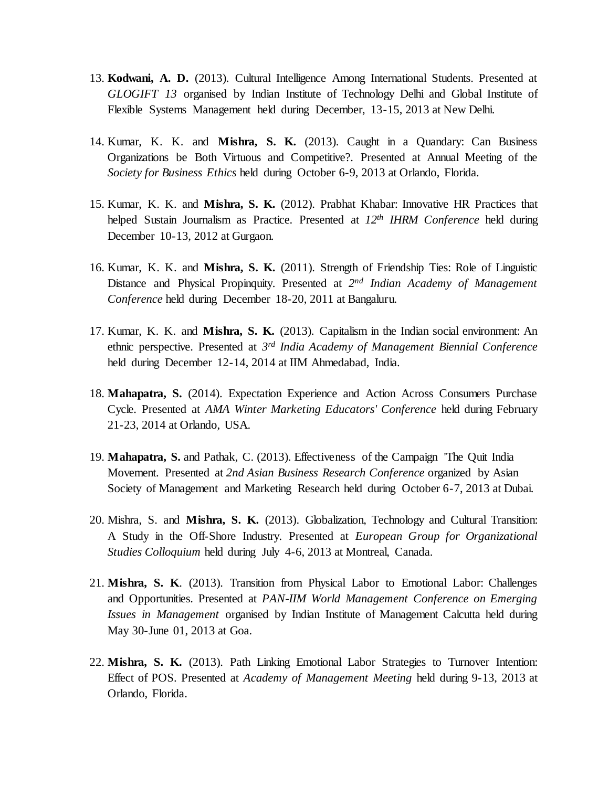- 13. **Kodwani, A. D.** (2013). Cultural Intelligence Among International Students. Presented at *GLOGIFT 13* organised by Indian Institute of Technology Delhi and Global Institute of Flexible Systems Management held during December, 13-15, 2013 at New Delhi.
- 14. Kumar, K. K. and **Mishra, S. K.** (2013). Caught in a Quandary: Can Business Organizations be Both Virtuous and Competitive?. Presented at Annual Meeting of the *Society for Business Ethics* held during October 6-9, 2013 at Orlando, Florida.
- 15. Kumar, K. K. and **Mishra, S. K.** (2012). Prabhat Khabar: Innovative HR Practices that helped Sustain Journalism as Practice. Presented at *12th IHRM Conference* held during December 10-13, 2012 at Gurgaon.
- 16. Kumar, K. K. and **Mishra, S. K.** (2011). Strength of Friendship Ties: Role of Linguistic Distance and Physical Propinquity. Presented at 2<sup>nd</sup> Indian Academy of Management *Conference* held during December 18-20, 2011 at Bangaluru.
- 17. Kumar, K. K. and **Mishra, S. K.** (2013). Capitalism in the Indian social environment: An ethnic perspective. Presented at *3 rd India Academy of Management Biennial Conference* held during December 12-14, 2014 at IIM Ahmedabad, India.
- 18. **Mahapatra, S.** (2014). Expectation Experience and Action Across Consumers Purchase Cycle. Presented at *AMA Winter Marketing Educators' Conference* held during February 21-23, 2014 at Orlando, USA.
- 19. **Mahapatra, S.** and Pathak, C. (2013). Effectiveness of the Campaign 'The Quit India Movement. Presented at *2nd Asian Business Research Conference* organized by Asian Society of Management and Marketing Research held during October 6-7, 2013 at Dubai.
- 20. Mishra, S. and **Mishra, S. K.** (2013). Globalization, Technology and Cultural Transition: A Study in the Off-Shore Industry. Presented at *European Group for Organizational Studies Colloquium* held during July 4-6, 2013 at Montreal, Canada.
- 21. **Mishra, S. K**. (2013). Transition from Physical Labor to Emotional Labor: Challenges and Opportunities. Presented at *PAN-IIM World Management Conference on Emerging Issues in Management* organised by Indian Institute of Management Calcutta held during May 30-June 01, 2013 at Goa.
- 22. **Mishra, S. K.** (2013). Path Linking Emotional Labor Strategies to Turnover Intention: Effect of POS. Presented at *Academy of Management Meeting* held during 9-13, 2013 at Orlando, Florida.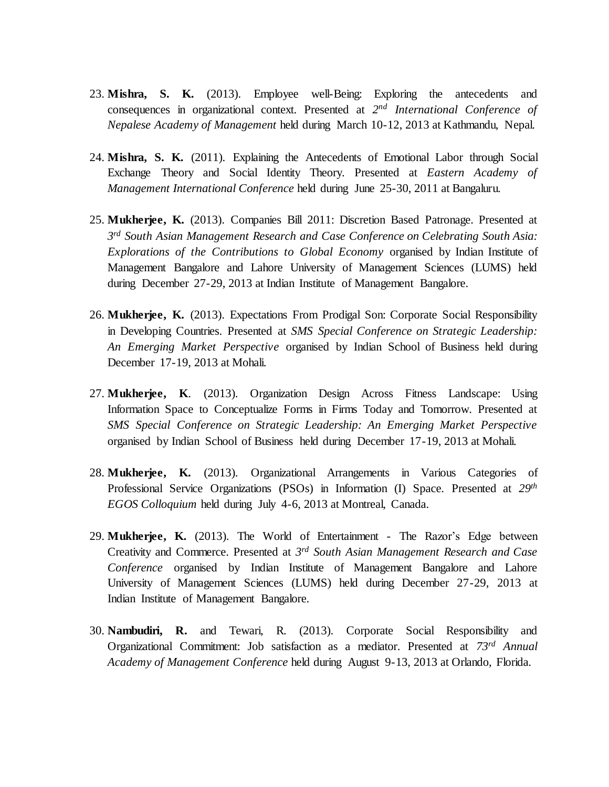- 23. **Mishra, S. K.** (2013). Employee well-Being: Exploring the antecedents and consequences in organizational context. Presented at 2<sup>nd</sup> International Conference of *Nepalese Academy of Management* held during March 10-12, 2013 at Kathmandu, Nepal.
- 24. **Mishra, S. K.** (2011). Explaining the Antecedents of Emotional Labor through Social Exchange Theory and Social Identity Theory. Presented at *Eastern Academy of Management International Conference* held during June 25-30, 2011 at Bangaluru.
- 25. **Mukherjee, K.** (2013). Companies Bill 2011: Discretion Based Patronage. Presented at *3 rd South Asian Management Research and Case Conference on Celebrating South Asia: Explorations of the Contributions to Global Economy* organised by Indian Institute of Management Bangalore and Lahore University of Management Sciences (LUMS) held during December 27-29, 2013 at Indian Institute of Management Bangalore.
- 26. **Mukherjee, K.** (2013). Expectations From Prodigal Son: Corporate Social Responsibility in Developing Countries. Presented at *SMS Special Conference on Strategic Leadership: An Emerging Market Perspective* organised by Indian School of Business held during December 17-19, 2013 at Mohali.
- 27. **Mukherjee, K**. (2013). Organization Design Across Fitness Landscape: Using Information Space to Conceptualize Forms in Firms Today and Tomorrow. Presented at *SMS Special Conference on Strategic Leadership: An Emerging Market Perspective* organised by Indian School of Business held during December 17-19, 2013 at Mohali.
- 28. **Mukherjee, K.** (2013). Organizational Arrangements in Various Categories of Professional Service Organizations (PSOs) in Information (I) Space. Presented at *29th EGOS Colloquium* held during July 4-6, 2013 at Montreal, Canada.
- 29. **Mukherjee, K.** (2013). The World of Entertainment The Razor's Edge between Creativity and Commerce. Presented at *3 rd South Asian Management Research and Case Conference* organised by Indian Institute of Management Bangalore and Lahore University of Management Sciences (LUMS) held during December 27-29, 2013 at Indian Institute of Management Bangalore.
- 30. **Nambudiri, R.** and Tewari, R. (2013). Corporate Social Responsibility and Organizational Commitment: Job satisfaction as a mediator. Presented at *73rd Annual Academy of Management Conference* held during August 9-13, 2013 at Orlando, Florida.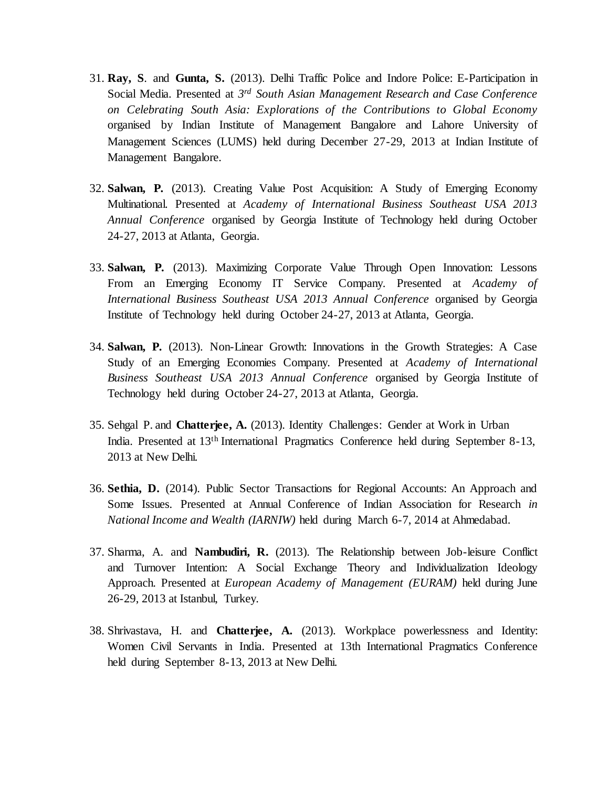- 31. **Ray, S**. and **Gunta, S.** (2013). Delhi Traffic Police and Indore Police: E-Participation in Social Media. Presented at *3 rd South Asian Management Research and Case Conference on Celebrating South Asia: Explorations of the Contributions to Global Economy* organised by Indian Institute of Management Bangalore and Lahore University of Management Sciences (LUMS) held during December 27-29, 2013 at Indian Institute of Management Bangalore.
- 32. **Salwan, P.** (2013). Creating Value Post Acquisition: A Study of Emerging Economy Multinational. Presented at *Academy of International Business Southeast USA 2013 Annual Conference* organised by Georgia Institute of Technology held during October 24-27, 2013 at Atlanta, Georgia.
- 33. **Salwan, P.** (2013). Maximizing Corporate Value Through Open Innovation: Lessons From an Emerging Economy IT Service Company. Presented at *Academy of International Business Southeast USA 2013 Annual Conference* organised by Georgia Institute of Technology held during October 24-27, 2013 at Atlanta, Georgia.
- 34. **Salwan, P.** (2013). Non-Linear Growth: Innovations in the Growth Strategies: A Case Study of an Emerging Economies Company. Presented at *Academy of International Business Southeast USA 2013 Annual Conference* organised by Georgia Institute of Technology held during October 24-27, 2013 at Atlanta, Georgia.
- 35. Sehgal P. and **Chatterjee, A.** (2013). Identity Challenges: Gender at Work in Urban India. Presented at 13th International Pragmatics Conference held during September 8-13, 2013 at New Delhi.
- 36. **Sethia, D.** (2014). Public Sector Transactions for Regional Accounts: An Approach and Some Issues. Presented at Annual Conference of Indian Association for Research *in National Income and Wealth (IARNIW)* held during March 6-7, 2014 at Ahmedabad.
- 37. Sharma, A. and **Nambudiri, R.** (2013). The Relationship between Job-leisure Conflict and Turnover Intention: A Social Exchange Theory and Individualization Ideology Approach. Presented at *European Academy of Management (EURAM)* held during June 26-29, 2013 at Istanbul, Turkey.
- 38. Shrivastava, H. and **Chatterjee, A.** (2013). Workplace powerlessness and Identity: Women Civil Servants in India. Presented at 13th International Pragmatics Conference held during September 8-13, 2013 at New Delhi.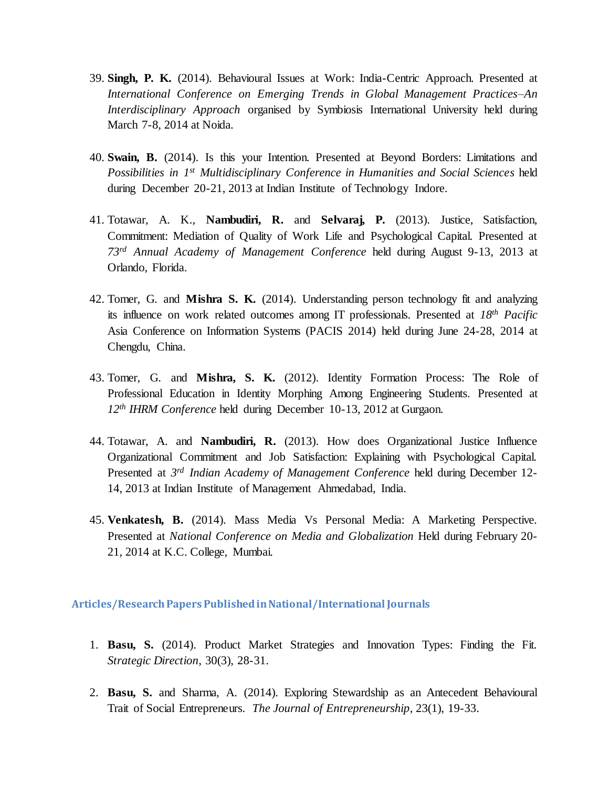- 39. **Singh, P. K.** (2014). Behavioural Issues at Work: India-Centric Approach. Presented at *International Conference on Emerging Trends in Global Management Practices–An Interdisciplinary Approach* organised by Symbiosis International University held during March 7-8, 2014 at Noida.
- 40. **Swain, B.** (2014). Is this your Intention. Presented at Beyond Borders: Limitations and *Possibilities in 1st Multidisciplinary Conference in Humanities and Social Sciences* held during December 20-21, 2013 at Indian Institute of Technology Indore.
- 41. Totawar, A. K., **Nambudiri, R.** and **Selvaraj, P.** (2013). Justice, Satisfaction, Commitment: Mediation of Quality of Work Life and Psychological Capital. Presented at *73rd Annual Academy of Management Conference* held during August 9-13, 2013 at Orlando, Florida.
- 42. Tomer, G. and **Mishra S. K.** (2014). Understanding person technology fit and analyzing its influence on work related outcomes among IT professionals. Presented at *18th Pacific* Asia Conference on Information Systems (PACIS 2014) held during June 24-28, 2014 at Chengdu, China.
- 43. Tomer, G. and **Mishra, S. K.** (2012). Identity Formation Process: The Role of Professional Education in Identity Morphing Among Engineering Students. Presented at *12th IHRM Conference* held during December 10-13, 2012 at Gurgaon.
- 44. Totawar, A. and **Nambudiri, R.** (2013). How does Organizational Justice Influence Organizational Commitment and Job Satisfaction: Explaining with Psychological Capital. Presented at 3<sup>rd</sup> Indian Academy of Management Conference held during December 12-14, 2013 at Indian Institute of Management Ahmedabad, India.
- 45. **Venkatesh, B.** (2014). Mass Media Vs Personal Media: A Marketing Perspective. Presented at *National Conference on Media and Globalization* Held during February 20- 21, 2014 at K.C. College, Mumbai.

#### **Articles/Research Papers Published in National/International Journals**

- 1. **Basu, S.** (2014). Product Market Strategies and Innovation Types: Finding the Fit. *Strategic Direction*, 30(3), 28-31.
- 2. **Basu, S.** and Sharma, A. (2014). Exploring Stewardship as an Antecedent Behavioural Trait of Social Entrepreneurs. *The Journal of Entrepreneurship*, 23(1), 19-33.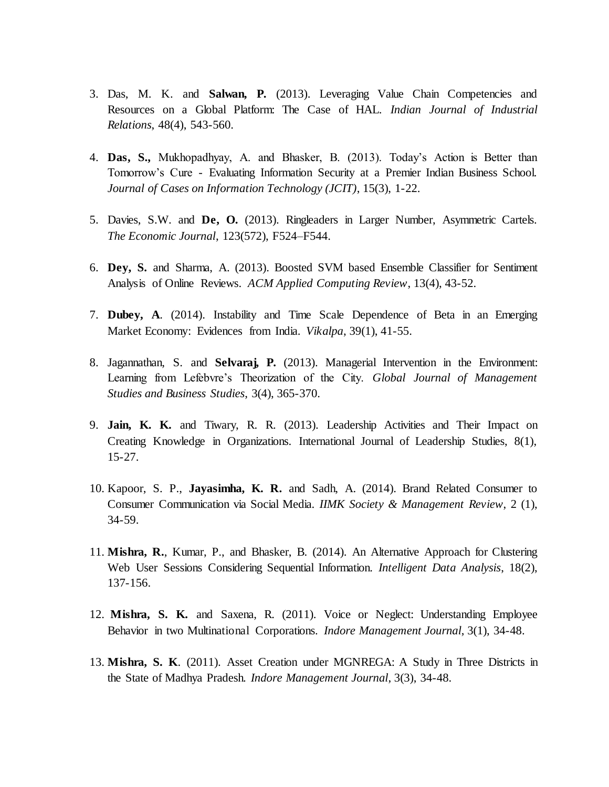- 3. Das, M. K. and **Salwan, P.** (2013). Leveraging Value Chain Competencies and Resources on a Global Platform: The Case of HAL. *Indian Journal of Industrial Relations*, 48(4), 543-560.
- 4. **Das, S.,** Mukhopadhyay, A. and Bhasker, B. (2013). Today's Action is Better than Tomorrow's Cure - Evaluating Information Security at a Premier Indian Business School. *Journal of Cases on Information Technology (JCIT)*, 15(3), 1-22.
- 5. Davies, S.W. and **De, O.** (2013). Ringleaders in Larger Number, Asymmetric Cartels. *The Economic Journal*, 123(572), F524–F544.
- 6. **Dey, S.** and Sharma, A. (2013). Boosted SVM based Ensemble Classifier for Sentiment Analysis of Online Reviews. *ACM Applied Computing Review*, 13(4), 43-52.
- 7. **Dubey, A**. (2014). Instability and Time Scale Dependence of Beta in an Emerging Market Economy: Evidences from India. *Vikalpa*, 39(1), 41-55.
- 8. Jagannathan, S. and **Selvaraj, P.** (2013). Managerial Intervention in the Environment: Learning from Lefebvre's Theorization of the City. *Global Journal of Management Studies and Business Studies*, 3(4), 365-370.
- 9. **Jain, K. K.** and Tiwary, R. R. (2013). Leadership Activities and Their Impact on Creating Knowledge in Organizations. International Journal of Leadership Studies, 8(1), 15-27.
- 10. Kapoor, S. P., **Jayasimha, K. R.** and Sadh, A. (2014). Brand Related Consumer to Consumer Communication via Social Media. *IIMK Society & Management Review*, 2 (1), 34-59.
- 11. **Mishra, R.**, Kumar, P., and Bhasker, B. (2014). An Alternative Approach for Clustering Web User Sessions Considering Sequential Information. *Intelligent Data Analysis*, 18(2), 137-156.
- 12. **Mishra, S. K.** and Saxena, R. (2011). Voice or Neglect: Understanding Employee Behavior in two Multinational Corporations. *Indore Management Journal*, 3(1), 34-48.
- 13. **Mishra, S. K**. (2011). Asset Creation under MGNREGA: A Study in Three Districts in the State of Madhya Pradesh. *Indore Management Journal*, 3(3), 34-48.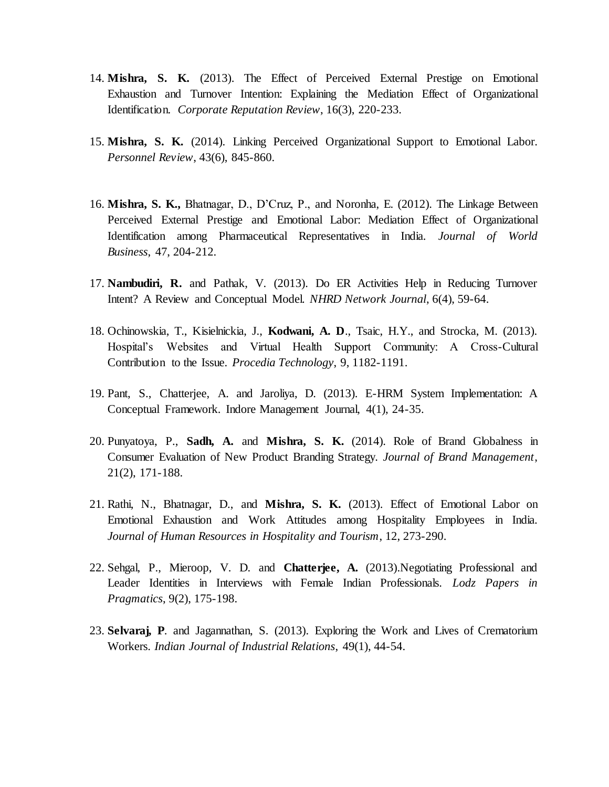- 14. **Mishra, S. K.** (2013). The Effect of Perceived External Prestige on Emotional Exhaustion and Turnover Intention: Explaining the Mediation Effect of Organizational Identification. *Corporate Reputation Review*, 16(3), 220-233.
- 15. **Mishra, S. K.** (2014). Linking Perceived Organizational Support to Emotional Labor. *Personnel Review*, 43(6), 845-860.
- 16. **Mishra, S. K.,** Bhatnagar, D., D'Cruz, P., and Noronha, E. (2012). The Linkage Between Perceived External Prestige and Emotional Labor: Mediation Effect of Organizational Identification among Pharmaceutical Representatives in India. *Journal of World Business*, 47, 204-212.
- 17. **Nambudiri, R.** and Pathak, V. (2013). Do ER Activities Help in Reducing Turnover Intent? A Review and Conceptual Model. *NHRD Network Journal*, 6(4), 59-64.
- 18. Ochinowskia, T., Kisielnickia, J., **Kodwani, A. D**., Tsaic, H.Y., and Strocka, M. (2013). Hospital's Websites and Virtual Health Support Community: A Cross-Cultural Contribution to the Issue. *Procedia Technology*, 9, 1182-1191.
- 19. Pant, S., Chatterjee, A. and Jaroliya, D. (2013). E-HRM System Implementation: A Conceptual Framework. Indore Management Journal, 4(1), 24-35.
- 20. Punyatoya, P., **Sadh, A.** and **Mishra, S. K.** (2014). Role of Brand Globalness in Consumer Evaluation of New Product Branding Strategy. *Journal of Brand Management*, 21(2), 171-188.
- 21. Rathi, N., Bhatnagar, D., and **Mishra, S. K.** (2013). Effect of Emotional Labor on Emotional Exhaustion and Work Attitudes among Hospitality Employees in India. *Journal of Human Resources in Hospitality and Tourism*, 12, 273-290.
- 22. Sehgal, P., Mieroop, V. D. and **Chatterjee, A.** (2013).Negotiating Professional and Leader Identities in Interviews with Female Indian Professionals. *Lodz Papers in Pragmatics*, 9(2), 175-198.
- 23. **Selvaraj, P**. and Jagannathan, S. (2013). Exploring the Work and Lives of Crematorium Workers. *Indian Journal of Industrial Relations*, 49(1), 44-54.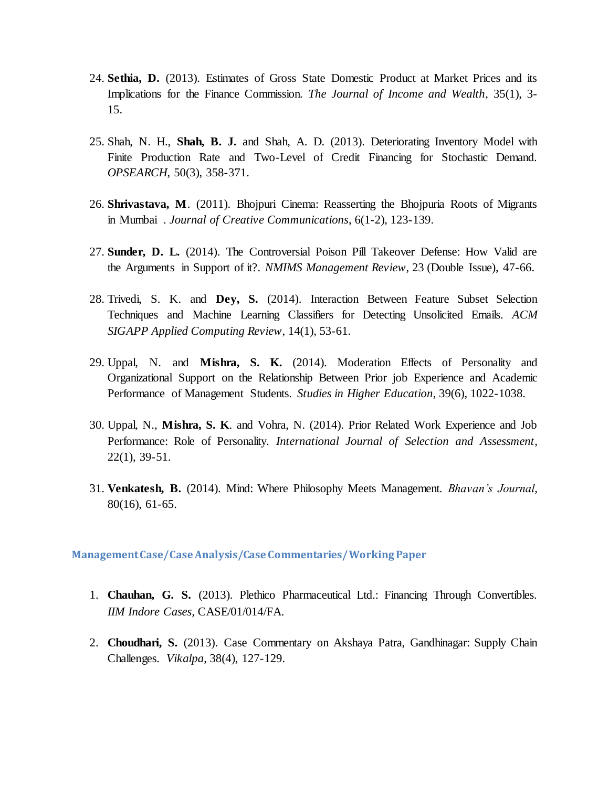- 24. **Sethia, D.** (2013). Estimates of Gross State Domestic Product at Market Prices and its Implications for the Finance Commission. *The Journal of Income and Wealth*, 35(1), 3- 15.
- 25. Shah, N. H., **Shah, B. J.** and Shah, A. D. (2013). Deteriorating Inventory Model with Finite Production Rate and Two-Level of Credit Financing for Stochastic Demand. *OPSEARCH*, 50(3), 358-371.
- 26. **Shrivastava, M**. (2011). Bhojpuri Cinema: Reasserting the Bhojpuria Roots of Migrants in Mumbai . *Journal of Creative Communications*, 6(1-2), 123-139.
- 27. **Sunder, D. L.** (2014). The Controversial Poison Pill Takeover Defense: How Valid are the Arguments in Support of it?. *NMIMS Management Review*, 23 (Double Issue), 47-66.
- 28. Trivedi, S. K. and **Dey, S.** (2014). Interaction Between Feature Subset Selection Techniques and Machine Learning Classifiers for Detecting Unsolicited Emails. *ACM SIGAPP Applied Computing Review*, 14(1), 53-61.
- 29. Uppal, N. and **Mishra, S. K.** (2014). Moderation Effects of Personality and Organizational Support on the Relationship Between Prior job Experience and Academic Performance of Management Students. *Studies in Higher Education*, 39(6), 1022-1038.
- 30. Uppal, N., **Mishra, S. K**. and Vohra, N. (2014). Prior Related Work Experience and Job Performance: Role of Personality. *International Journal of Selection and Assessment*, 22(1), 39-51.
- 31. **Venkatesh, B.** (2014). Mind: Where Philosophy Meets Management. *Bhavan's Journal*, 80(16), 61-65.

**Management Case/Case Analysis/Case Commentaries/ Working Paper**

- 1. **Chauhan, G. S.** (2013). Plethico Pharmaceutical Ltd.: Financing Through Convertibles. *IIM Indore Cases,* CASE/01/014/FA.
- 2. **Choudhari, S.** (2013). Case Commentary on Akshaya Patra, Gandhinagar: Supply Chain Challenges. *Vikalpa*, 38(4), 127-129.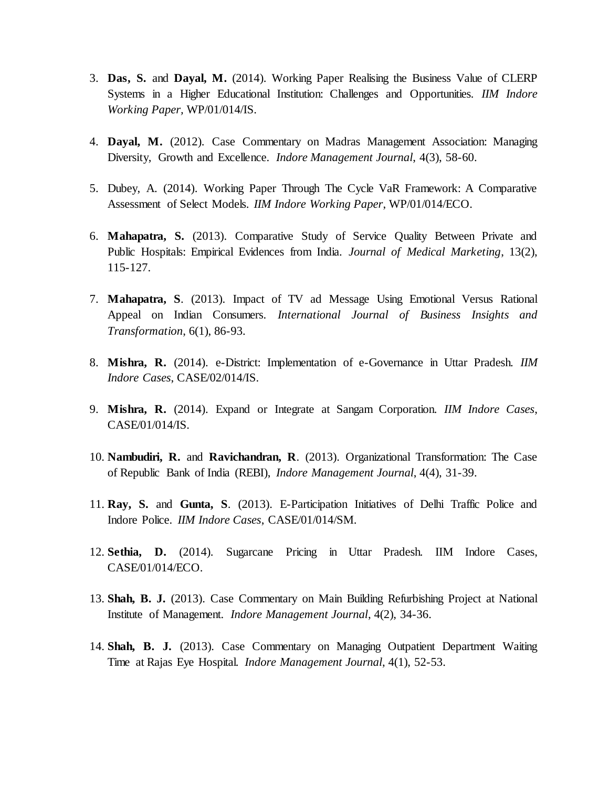- 3. **Das, S.** and **Dayal, M.** (2014). Working Paper Realising the Business Value of CLERP Systems in a Higher Educational Institution: Challenges and Opportunities*. IIM Indore Working Paper,* WP/01/014/IS.
- 4. **Dayal, M.** (2012). Case Commentary on Madras Management Association: Managing Diversity, Growth and Excellence. *Indore Management Journal*, 4(3), 58-60.
- 5. Dubey, A. (2014). Working Paper Through The Cycle VaR Framework: A Comparative Assessment of Select Models. *IIM Indore Working Paper*, WP/01/014/ECO.
- 6. **Mahapatra, S.** (2013). Comparative Study of Service Quality Between Private and Public Hospitals: Empirical Evidences from India. *Journal of Medical Marketing*, 13(2), 115-127.
- 7. **Mahapatra, S**. (2013). Impact of TV ad Message Using Emotional Versus Rational Appeal on Indian Consumers. *International Journal of Business Insights and Transformation*, 6(1), 86-93.
- 8. **Mishra, R.** (2014). e-District: Implementation of e-Governance in Uttar Pradesh. *IIM Indore Cases*, CASE/02/014/IS.
- 9. **Mishra, R.** (2014). Expand or Integrate at Sangam Corporation. *IIM Indore Cases*, CASE/01/014/IS.
- 10. **Nambudiri, R.** and **Ravichandran, R**. (2013). Organizational Transformation: The Case of Republic Bank of India (REBI), *Indore Management Journal*, 4(4), 31-39.
- 11. **Ray, S.** and **Gunta, S**. (2013). E-Participation Initiatives of Delhi Traffic Police and Indore Police. *IIM Indore Cases*, CASE/01/014/SM.
- 12. **Sethia, D.** (2014). Sugarcane Pricing in Uttar Pradesh. IIM Indore Cases, CASE/01/014/ECO.
- 13. **Shah, B. J.** (2013). Case Commentary on Main Building Refurbishing Project at National Institute of Management. *Indore Management Journal*, 4(2), 34-36.
- 14. **Shah, B. J.** (2013). Case Commentary on Managing Outpatient Department Waiting Time at Rajas Eye Hospital. *Indore Management Journal*, 4(1), 52-53.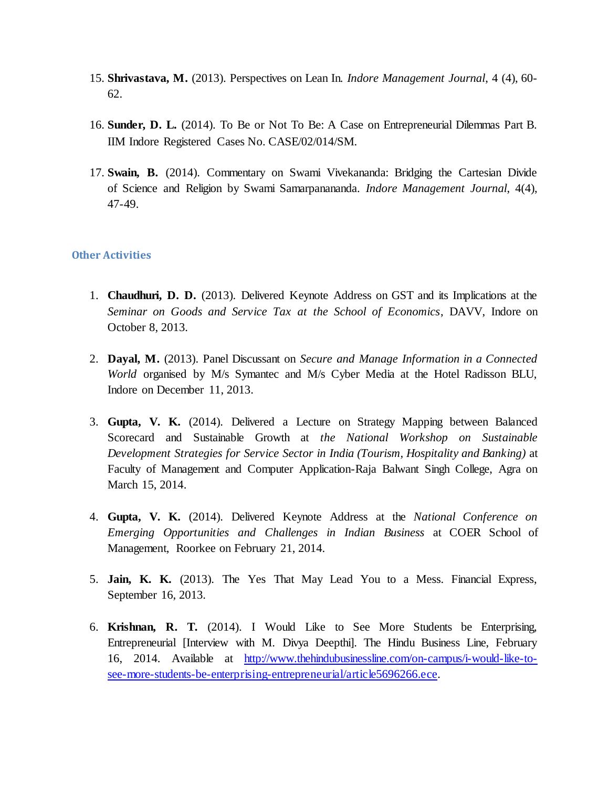- 15. **Shrivastava, M.** (2013). Perspectives on Lean In. *Indore Management Journal*, 4 (4), 60- 62.
- 16. **Sunder, D. L.** (2014). To Be or Not To Be: A Case on Entrepreneurial Dilemmas Part B. IIM Indore Registered Cases No. CASE/02/014/SM.
- 17. **Swain, B.** (2014). Commentary on Swami Vivekananda: Bridging the Cartesian Divide of Science and Religion by Swami Samarpanananda. *Indore Management Journal*, 4(4), 47-49.

## **Other Activities**

- 1. **Chaudhuri, D. D.** (2013). Delivered Keynote Address on GST and its Implications at the *Seminar on Goods and Service Tax at the School of Economics*, DAVV, Indore on October 8, 2013.
- 2. **Dayal, M.** (2013). Panel Discussant on *Secure and Manage Information in a Connected World* organised by M/s Symantec and M/s Cyber Media at the Hotel Radisson BLU, Indore on December 11, 2013.
- 3. **Gupta, V. K.** (2014). Delivered a Lecture on Strategy Mapping between Balanced Scorecard and Sustainable Growth at *the National Workshop on Sustainable Development Strategies for Service Sector in India (Tourism, Hospitality and Banking)* at Faculty of Management and Computer Application-Raja Balwant Singh College, Agra on March 15, 2014.
- 4. **Gupta, V. K.** (2014). Delivered Keynote Address at the *National Conference on Emerging Opportunities and Challenges in Indian Business* at COER School of Management, Roorkee on February 21, 2014.
- 5. **Jain, K. K.** (2013). The Yes That May Lead You to a Mess. Financial Express, September 16, 2013.
- 6. **Krishnan, R. T.** (2014). I Would Like to See More Students be Enterprising, Entrepreneurial [Interview with M. Divya Deepthi]. The Hindu Business Line, February 16, 2014. Available [at http://www.thehindubusinessline.com/on-campus/i-would-like-to](http://www.thehindubusinessline.com/on-campus/i-would-like-to-see-more-students-be-enterprising-entrepreneurial/article5696266.ece)[see-more-students-be-enterprising-entrepreneurial/article5696266.ece.](http://www.thehindubusinessline.com/on-campus/i-would-like-to-see-more-students-be-enterprising-entrepreneurial/article5696266.ece)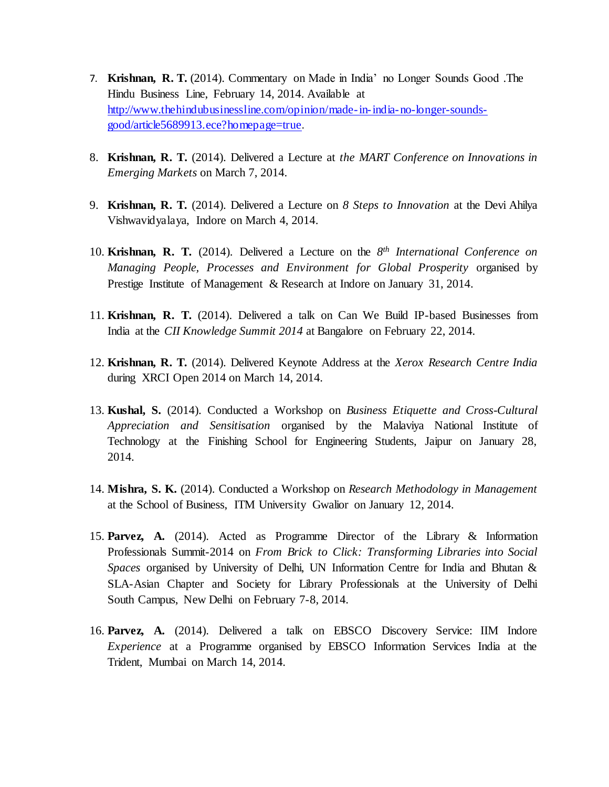- 7. **Krishnan, R. T.** (2014). Commentary on Made in India' no Longer Sounds Good .The Hindu Business Line, February 14, 2014. Available at [http://www.thehindubusinessline.com/opinion/made-in-india-no-longer-sounds](http://www.thehindubusinessline.com/opinion/made-in-india-no-longer-sounds-good/article5689913.ece?homepage=true)[good/article5689913.ece?homepage=true](http://www.thehindubusinessline.com/opinion/made-in-india-no-longer-sounds-good/article5689913.ece?homepage=true).
- 8. **Krishnan, R. T.** (2014). Delivered a Lecture at *the MART Conference on Innovations in Emerging Markets* on March 7, 2014.
- 9. **Krishnan, R. T.** (2014). Delivered a Lecture on *8 Steps to Innovation* at the Devi Ahilya Vishwavidyalaya, Indore on March 4, 2014.
- 10. **Krishnan, R. T.** (2014). Delivered a Lecture on the *8 th International Conference on Managing People, Processes and Environment for Global Prosperity* organised by Prestige Institute of Management & Research at Indore on January 31, 2014.
- 11. **Krishnan, R. T.** (2014). Delivered a talk on Can We Build IP-based Businesses from India at the *CII Knowledge Summit 2014* at Bangalore on February 22, 2014.
- 12. **Krishnan, R. T.** (2014). Delivered Keynote Address at the *Xerox Research Centre India* during XRCI Open 2014 on March 14, 2014.
- 13. **Kushal, S.** (2014). Conducted a Workshop on *Business Etiquette and Cross-Cultural Appreciation and Sensitisation* organised by the Malaviya National Institute of Technology at the Finishing School for Engineering Students, Jaipur on January 28, 2014.
- 14. **Mishra, S. K.** (2014). Conducted a Workshop on *Research Methodology in Management* at the School of Business, ITM University Gwalior on January 12, 2014.
- 15. **Parvez, A.** (2014). Acted as Programme Director of the Library & Information Professionals Summit-2014 on *From Brick to Click: Transforming Libraries into Social Spaces* organised by University of Delhi, UN Information Centre for India and Bhutan & SLA-Asian Chapter and Society for Library Professionals at the University of Delhi South Campus, New Delhi on February 7-8, 2014.
- 16. **Parvez, A.** (2014). Delivered a talk on EBSCO Discovery Service: IIM Indore *Experience* at a Programme organised by EBSCO Information Services India at the Trident, Mumbai on March 14, 2014.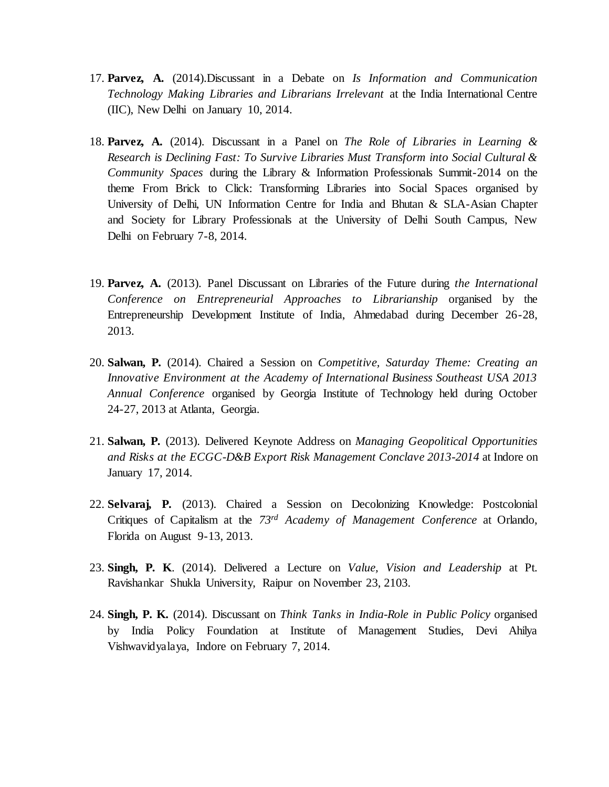- 17. **Parvez, A.** (2014).Discussant in a Debate on *Is Information and Communication Technology Making Libraries and Librarians Irrelevant* at the India International Centre (IIC), New Delhi on January 10, 2014.
- 18. **Parvez, A.** (2014). Discussant in a Panel on *The Role of Libraries in Learning & Research is Declining Fast: To Survive Libraries Must Transform into Social Cultural & Community Spaces* during the Library & Information Professionals Summit-2014 on the theme From Brick to Click: Transforming Libraries into Social Spaces organised by University of Delhi, UN Information Centre for India and Bhutan & SLA-Asian Chapter and Society for Library Professionals at the University of Delhi South Campus, New Delhi on February 7-8, 2014.
- 19. **Parvez, A.** (2013). Panel Discussant on Libraries of the Future during *the International Conference on Entrepreneurial Approaches to Librarianship* organised by the Entrepreneurship Development Institute of India, Ahmedabad during December 26-28, 2013.
- 20. **Salwan, P.** (2014). Chaired a Session on *Competitive, Saturday Theme: Creating an Innovative Environment at the Academy of International Business Southeast USA 2013 Annual Conference* organised by Georgia Institute of Technology held during October 24-27, 2013 at Atlanta, Georgia.
- 21. **Salwan, P.** (2013). Delivered Keynote Address on *Managing Geopolitical Opportunities and Risks at the ECGC-D&B Export Risk Management Conclave 2013-2014* at Indore on January 17, 2014.
- 22. **Selvaraj, P.** (2013). Chaired a Session on Decolonizing Knowledge: Postcolonial Critiques of Capitalism at the *73rd Academy of Management Conference* at Orlando, Florida on August 9-13, 2013.
- 23. **Singh, P. K**. (2014). Delivered a Lecture on *Value, Vision and Leadership* at Pt. Ravishankar Shukla University, Raipur on November 23, 2103.
- 24. **Singh, P. K.** (2014). Discussant on *Think Tanks in India-Role in Public Policy* organised by India Policy Foundation at Institute of Management Studies, Devi Ahilya Vishwavidyalaya, Indore on February 7, 2014.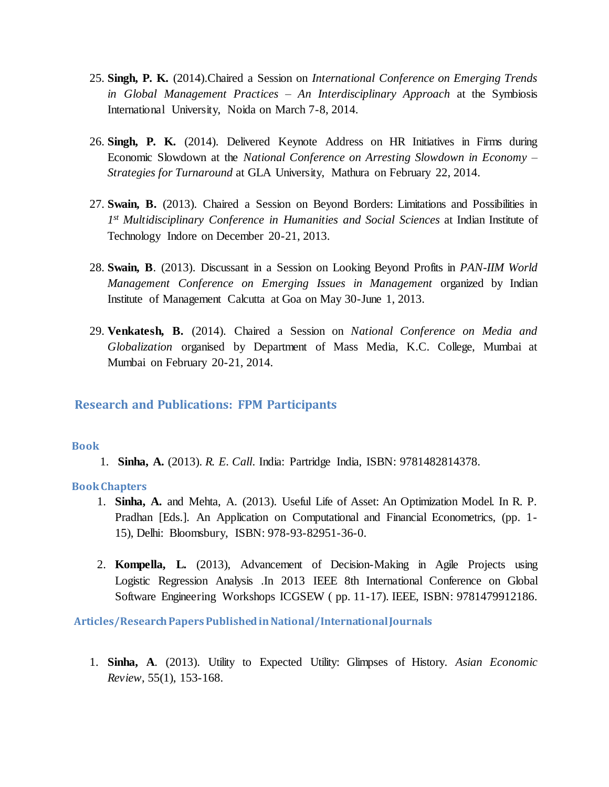- 25. **Singh, P. K.** (2014).Chaired a Session on *International Conference on Emerging Trends in Global Management Practices – An Interdisciplinary Approach* at the Symbiosis International University, Noida on March 7-8, 2014.
- 26. **Singh, P. K.** (2014). Delivered Keynote Address on HR Initiatives in Firms during Economic Slowdown at the *National Conference on Arresting Slowdown in Economy – Strategies for Turnaround* at GLA University, Mathura on February 22, 2014.
- 27. **Swain, B.** (2013). Chaired a Session on Beyond Borders: Limitations and Possibilities in *1 st Multidisciplinary Conference in Humanities and Social Sciences* at Indian Institute of Technology Indore on December 20-21, 2013.
- 28. **Swain, B**. (2013). Discussant in a Session on Looking Beyond Profits in *PAN-IIM World Management Conference on Emerging Issues in Management* organized by Indian Institute of Management Calcutta at Goa on May 30-June 1, 2013.
- 29. **Venkatesh, B.** (2014). Chaired a Session on *National Conference on Media and Globalization* organised by Department of Mass Media, K.C. College, Mumbai at Mumbai on February 20-21, 2014.

# **Research and Publications: FPM Participants**

#### **Book**

1. **Sinha, A.** (2013). *R. E. Call*. India: Partridge India, ISBN: 9781482814378.

#### **Book Chapters**

- 1. **Sinha, A.** and Mehta, A. (2013). Useful Life of Asset: An Optimization Model. In R. P. Pradhan [Eds.]. An Application on Computational and Financial Econometrics, (pp. 1- 15), Delhi: Bloomsbury, ISBN: 978-93-82951-36-0.
- 2. **Kompella, L.** (2013), Advancement of Decision-Making in Agile Projects using Logistic Regression Analysis .In 2013 IEEE 8th International Conference on Global Software Engineering Workshops ICGSEW ( pp. 11-17). IEEE, ISBN: 9781479912186.

**Articles/Research Papers Published in National/International Journals**

1. **Sinha, A**. (2013). Utility to Expected Utility: Glimpses of History. *Asian Economic Review*, 55(1), 153-168.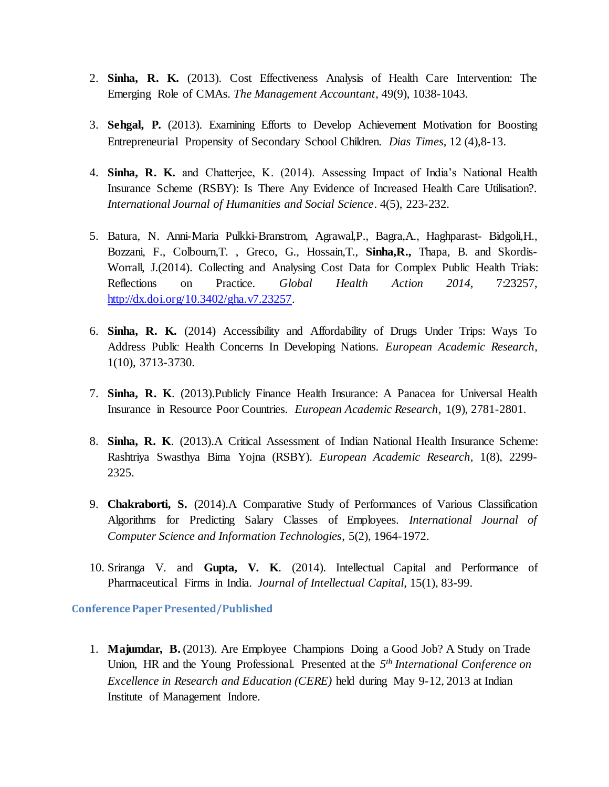- 2. **Sinha, R. K.** (2013). Cost Effectiveness Analysis of Health Care Intervention: The Emerging Role of CMAs. *The Management Accountant*, 49(9), 1038-1043.
- 3. **Sehgal, P.** (2013). Examining Efforts to Develop Achievement Motivation for Boosting Entrepreneurial Propensity of Secondary School Children. *Dias Times*, 12 (4),8-13.
- 4. **Sinha, R. K.** and Chatterjee, K. (2014). Assessing Impact of India's National Health Insurance Scheme (RSBY): Is There Any Evidence of Increased Health Care Utilisation?. *International Journal of Humanities and Social Science*. 4(5), 223-232.
- 5. Batura, N. Anni-Maria Pulkki-Branstrom, Agrawal,P., Bagra,A., Haghparast- Bidgoli,H., Bozzani, F., Colbourn,T. , Greco, G., Hossain,T., **Sinha,R.,** Thapa, B. and Skordis-Worrall, J.(2014). Collecting and Analysing Cost Data for Complex Public Health Trials: Reflections on Practice. *Global Health Action 2014*, 7:23257, [http://dx.doi.org/10.3402/gha.v7.23257.](http://dx.doi.org/10.3402/gha.v7.23257)
- 6. **Sinha, R. K.** (2014) Accessibility and Affordability of Drugs Under Trips: Ways To Address Public Health Concerns In Developing Nations. *European Academic Research*, 1(10), 3713-3730.
- 7. **Sinha, R. K**. (2013).Publicly Finance Health Insurance: A Panacea for Universal Health Insurance in Resource Poor Countries. *European Academic Research*, 1(9), 2781-2801.
- 8. **Sinha, R. K**. (2013).A Critical Assessment of Indian National Health Insurance Scheme: Rashtriya Swasthya Bima Yojna (RSBY). *European Academic Research*, 1(8), 2299- 2325.
- 9. **Chakraborti, S.** (2014).A Comparative Study of Performances of Various Classification Algorithms for Predicting Salary Classes of Employees. *International Journal of Computer Science and Information Technologies*, 5(2), 1964-1972.
- 10. Sriranga V. and **Gupta, V. K**. (2014). Intellectual Capital and Performance of Pharmaceutical Firms in India. *Journal of Intellectual Capital*, 15(1), 83-99.

**Conference Paper Presented/Published** 

1. **Majumdar, B.** (2013). Are Employee Champions Doing a Good Job? A Study on Trade Union, HR and the Young Professional. Presented at the *5 th International Conference on Excellence in Research and Education (CERE)* held during May 9-12, 2013 at Indian Institute of Management Indore.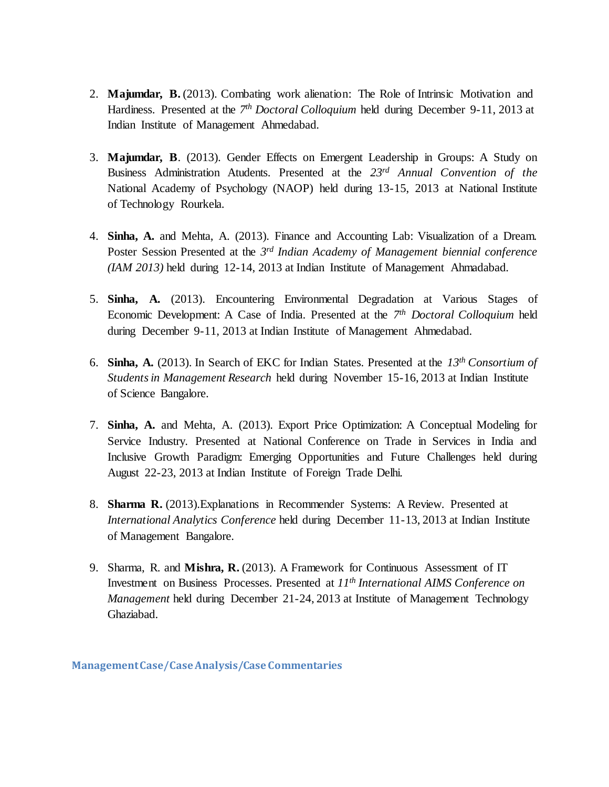- 2. **Majumdar, B.** (2013). Combating work alienation: The Role of Intrinsic Motivation and Hardiness. Presented at the 7<sup>th</sup> Doctoral Colloquium held during December 9-11, 2013 at Indian Institute of Management Ahmedabad.
- 3. **Majumdar, B**. (2013). Gender Effects on Emergent Leadership in Groups: A Study on Business Administration Atudents. Presented at the *23rd Annual Convention of the* National Academy of Psychology (NAOP) held during 13-15, 2013 at National Institute of Technology Rourkela.
- 4. **Sinha, A.** and Mehta, A. (2013). Finance and Accounting Lab: Visualization of a Dream. Poster Session Presented at the *3 rd Indian Academy of Management biennial conference (IAM 2013)* held during 12-14, 2013 at Indian Institute of Management Ahmadabad.
- 5. **Sinha, A.** (2013). Encountering Environmental Degradation at Various Stages of Economic Development: A Case of India. Presented at the *7 th Doctoral Colloquium* held during December 9-11, 2013 at Indian Institute of Management Ahmedabad.
- 6. **Sinha, A.** (2013). In Search of EKC for Indian States. Presented at the *13th Consortium of Students in Management Research* held during November 15-16, 2013 at Indian Institute of Science Bangalore.
- 7. **Sinha, A.** and Mehta, A. (2013). Export Price Optimization: A Conceptual Modeling for Service Industry. Presented at National Conference on Trade in Services in India and Inclusive Growth Paradigm: Emerging Opportunities and Future Challenges held during August 22-23, 2013 at Indian Institute of Foreign Trade Delhi.
- 8. **Sharma R.** (2013).Explanations in Recommender Systems: A Review. Presented at *International Analytics Conference* held during December 11-13, 2013 at Indian Institute of Management Bangalore.
- 9. Sharma, R. and **Mishra, R.** (2013). A Framework for Continuous Assessment of IT Investment on Business Processes. Presented at *11th International AIMS Conference on Management* held during December 21-24, 2013 at Institute of Management Technology Ghaziabad.

**Management Case/Case Analysis/Case Commentaries**